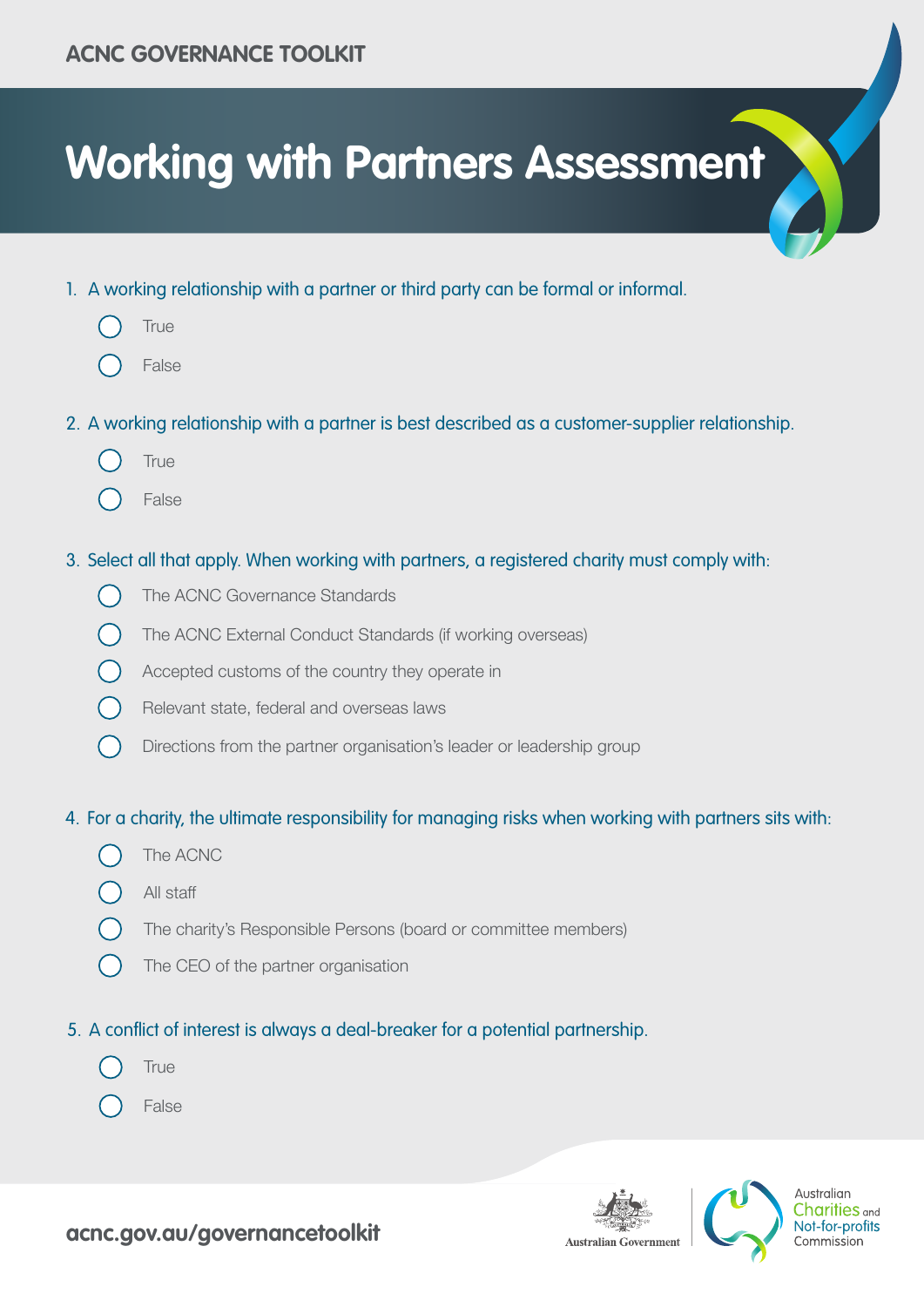# **Working with Partners Assessment**

- 1. A working relationship with a partner or third party can be formal or informal.
	- **True**
	- False
- 2. A working relationship with a partner is best described as a customer-supplier relationship.
	- **True**
	- False
- 3. Select all that apply. When working with partners, a registered charity must comply with:
	- The ACNC Governance Standards
	- The ACNC External Conduct Standards (if working overseas)
	- Accepted customs of the country they operate in
	- Relevant state, federal and overseas laws  $\bigcap$
	- $\left(\begin{array}{c} \end{array}\right)$ Directions from the partner organisation's leader or leadership group

### 4. For a charity, the ultimate responsibility for managing risks when working with partners sits with:

- The ACNC
- All staff
- The charity's Responsible Persons (board or committee members)
- The CEO of the partner organisation

# 5. A conflict of interest is always a deal-breaker for a potential partnership.

- **True**
- False





Australian **Charities** and Not-for-profits Commission

# **acnc.gov.au/governancetoolkit**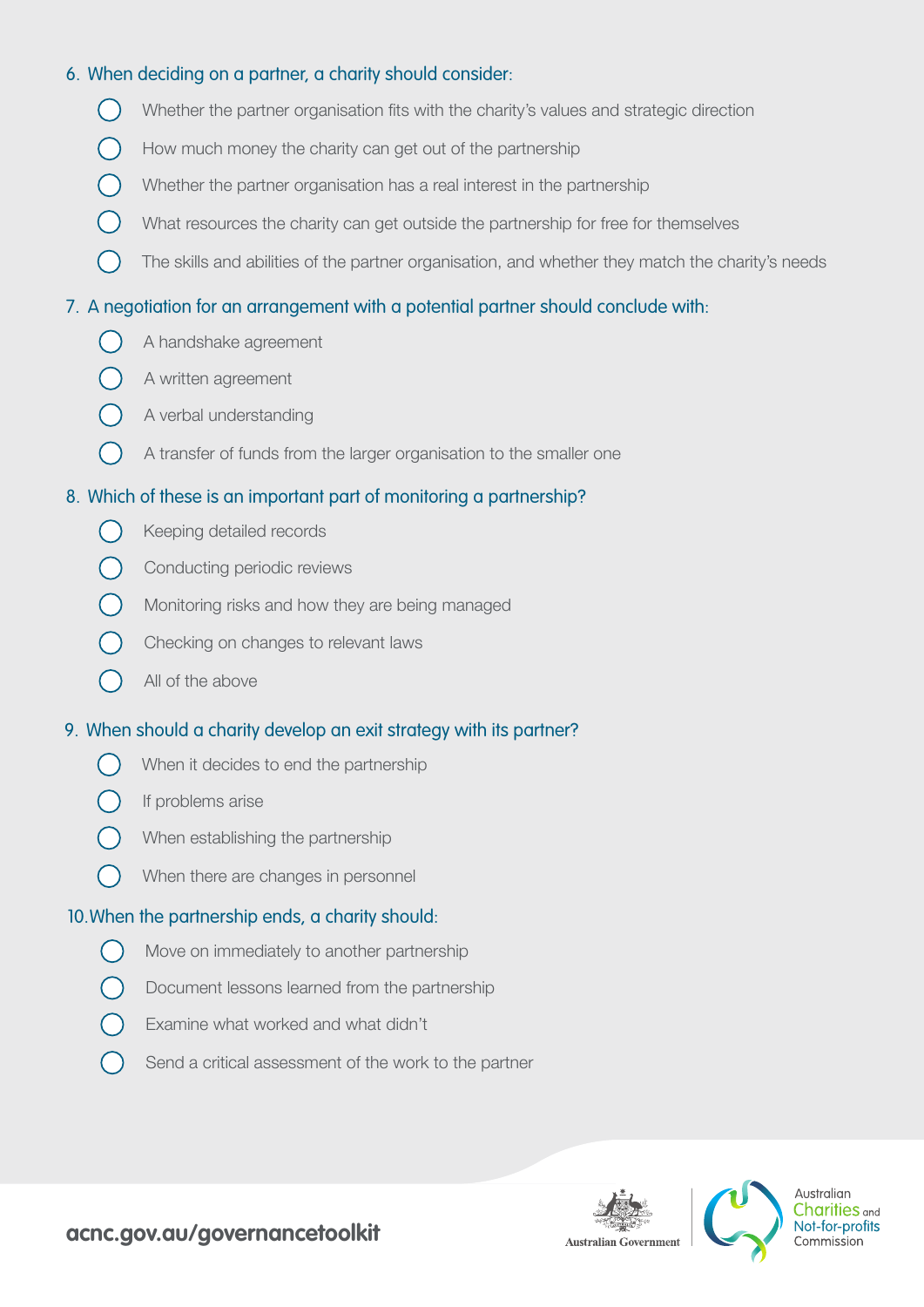#### 6. When deciding on a partner, a charity should consider:

- Whether the partner organisation fits with the charity's values and strategic direction
- How much money the charity can get out of the partnership
- Whether the partner organisation has a real interest in the partnership
- $($   $)$  What resources the charity can get outside the partnership for free for themselves
- The skills and abilities of the partner organisation, and whether they match the charity's needs

#### 7. A negotiation for an arrangement with a potential partner should conclude with:

- A handshake agreement
- A written agreement
- A verbal understanding
- A transfer of funds from the larger organisation to the smaller one

#### 8. Which of these is an important part of monitoring a partnership?

- $\left(\begin{array}{c} \end{array}\right)$ Keeping detailed records
- Conducting periodic reviews
- Monitoring risks and how they are being managed
- Checking on changes to relevant laws
- All of the above

#### 9. When should a charity develop an exit strategy with its partner?

- When it decides to end the partnership
- If problems arise
- When establishing the partnership
- When there are changes in personnel  $\bigcirc$

#### 10.When the partnership ends, a charity should:

- $\left(\begin{array}{c} \end{array}\right)$ Move on immediately to another partnership
- Document lessons learned from the partnership
- Examine what worked and what didn't
- Send a critical assessment of the work to the partner





Australian Charities <sub>and</sub> Not-for-profits Commission

## **acnc.gov.au/governancetoolkit**